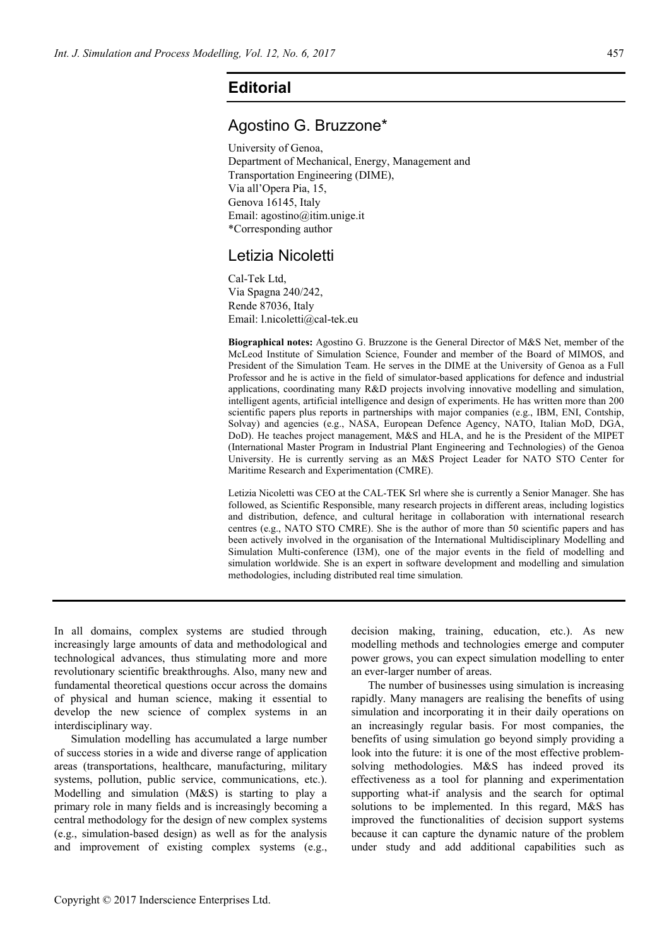## **Editorial**

## Agostino G. Bruzzone\*

University of Genoa, Department of Mechanical, Energy, Management and Transportation Engineering (DIME), Via all'Opera Pia, 15, Genova 16145, Italy Email: agostino@itim.unige.it \*Corresponding author

## Letizia Nicoletti

Cal-Tek Ltd, Via Spagna 240/242, Rende 87036, Italy Email: l.nicoletti@cal-tek.eu

**Biographical notes:** Agostino G. Bruzzone is the General Director of M&S Net, member of the McLeod Institute of Simulation Science, Founder and member of the Board of MIMOS, and President of the Simulation Team. He serves in the DIME at the University of Genoa as a Full Professor and he is active in the field of simulator-based applications for defence and industrial applications, coordinating many R&D projects involving innovative modelling and simulation, intelligent agents, artificial intelligence and design of experiments. He has written more than 200 scientific papers plus reports in partnerships with major companies (e.g., IBM, ENI, Contship, Solvay) and agencies (e.g., NASA, European Defence Agency, NATO, Italian MoD, DGA, DoD). He teaches project management, M&S and HLA, and he is the President of the MIPET (International Master Program in Industrial Plant Engineering and Technologies) of the Genoa University. He is currently serving as an M&S Project Leader for NATO STO Center for Maritime Research and Experimentation (CMRE).

Letizia Nicoletti was CEO at the CAL-TEK Srl where she is currently a Senior Manager. She has followed, as Scientific Responsible, many research projects in different areas, including logistics and distribution, defence, and cultural heritage in collaboration with international research centres (e.g., NATO STO CMRE). She is the author of more than 50 scientific papers and has been actively involved in the organisation of the International Multidisciplinary Modelling and Simulation Multi-conference (I3M), one of the major events in the field of modelling and simulation worldwide. She is an expert in software development and modelling and simulation methodologies, including distributed real time simulation.

In all domains, complex systems are studied through increasingly large amounts of data and methodological and technological advances, thus stimulating more and more revolutionary scientific breakthroughs. Also, many new and fundamental theoretical questions occur across the domains of physical and human science, making it essential to develop the new science of complex systems in an interdisciplinary way.

Simulation modelling has accumulated a large number of success stories in a wide and diverse range of application areas (transportations, healthcare, manufacturing, military systems, pollution, public service, communications, etc.). Modelling and simulation (M&S) is starting to play a primary role in many fields and is increasingly becoming a central methodology for the design of new complex systems (e.g., simulation-based design) as well as for the analysis and improvement of existing complex systems (e.g.,

decision making, training, education, etc.). As new modelling methods and technologies emerge and computer power grows, you can expect simulation modelling to enter an ever-larger number of areas.

The number of businesses using simulation is increasing rapidly. Many managers are realising the benefits of using simulation and incorporating it in their daily operations on an increasingly regular basis. For most companies, the benefits of using simulation go beyond simply providing a look into the future: it is one of the most effective problemsolving methodologies. M&S has indeed proved its effectiveness as a tool for planning and experimentation supporting what-if analysis and the search for optimal solutions to be implemented. In this regard, M&S has improved the functionalities of decision support systems because it can capture the dynamic nature of the problem under study and add additional capabilities such as